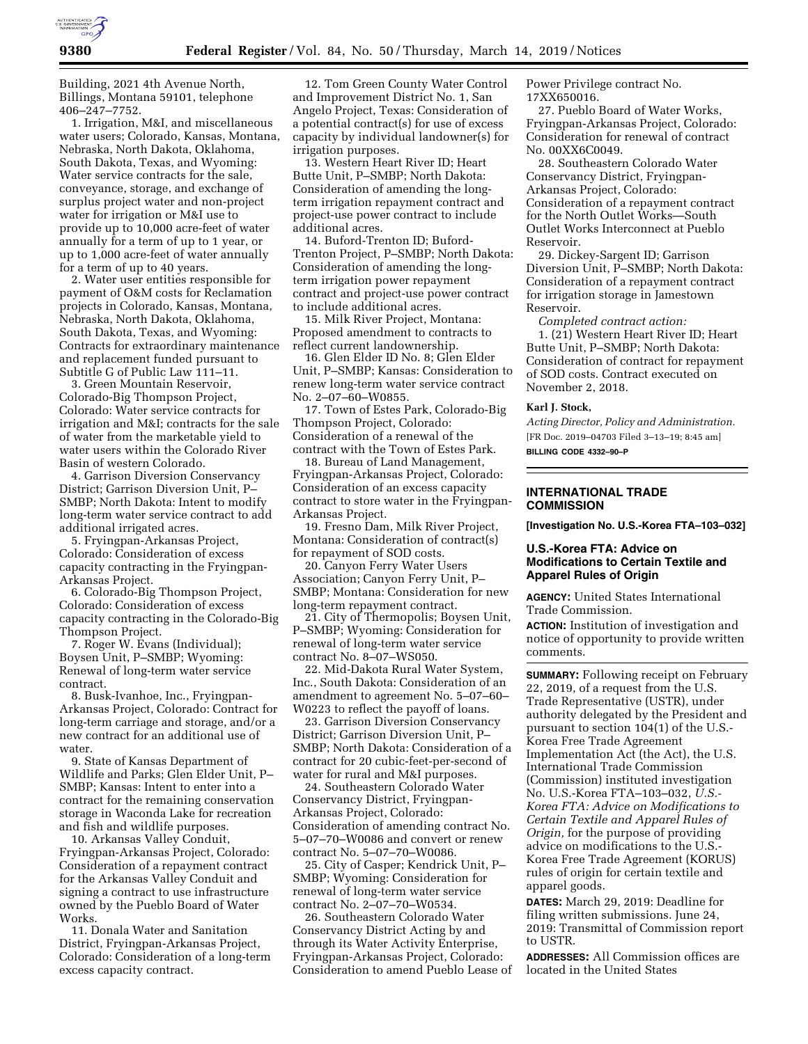



Building, 2021 4th Avenue North, Billings, Montana 59101, telephone 406–247–7752.

1. Irrigation, M&I, and miscellaneous water users; Colorado, Kansas, Montana, Nebraska, North Dakota, Oklahoma, South Dakota, Texas, and Wyoming: Water service contracts for the sale, conveyance, storage, and exchange of surplus project water and non-project water for irrigation or M&I use to provide up to 10,000 acre-feet of water annually for a term of up to 1 year, or up to 1,000 acre-feet of water annually for a term of up to 40 years.

2. Water user entities responsible for payment of O&M costs for Reclamation projects in Colorado, Kansas, Montana, Nebraska, North Dakota, Oklahoma, South Dakota, Texas, and Wyoming: Contracts for extraordinary maintenance and replacement funded pursuant to Subtitle G of Public Law 111–11.

3. Green Mountain Reservoir, Colorado-Big Thompson Project, Colorado: Water service contracts for irrigation and M&I; contracts for the sale of water from the marketable yield to water users within the Colorado River Basin of western Colorado.

4. Garrison Diversion Conservancy District; Garrison Diversion Unit, P– SMBP; North Dakota: Intent to modify long-term water service contract to add additional irrigated acres.

5. Fryingpan-Arkansas Project, Colorado: Consideration of excess capacity contracting in the Fryingpan-Arkansas Project.

6. Colorado-Big Thompson Project, Colorado: Consideration of excess capacity contracting in the Colorado-Big Thompson Project.

7. Roger W. Evans (Individual); Boysen Unit, P–SMBP; Wyoming: Renewal of long-term water service contract.

8. Busk-Ivanhoe, Inc., Fryingpan-Arkansas Project, Colorado: Contract for long-term carriage and storage, and/or a new contract for an additional use of water.

9. State of Kansas Department of Wildlife and Parks; Glen Elder Unit, P– SMBP; Kansas: Intent to enter into a contract for the remaining conservation storage in Waconda Lake for recreation and fish and wildlife purposes.

10. Arkansas Valley Conduit, Fryingpan-Arkansas Project, Colorado: Consideration of a repayment contract for the Arkansas Valley Conduit and signing a contract to use infrastructure owned by the Pueblo Board of Water Works.

11. Donala Water and Sanitation District, Fryingpan-Arkansas Project, Colorado: Consideration of a long-term excess capacity contract.

12. Tom Green County Water Control and Improvement District No. 1, San Angelo Project, Texas: Consideration of a potential contract(s) for use of excess capacity by individual landowner(s) for irrigation purposes.

13. Western Heart River ID; Heart Butte Unit, P–SMBP; North Dakota: Consideration of amending the longterm irrigation repayment contract and project-use power contract to include additional acres.

14. Buford-Trenton ID; Buford-Trenton Project, P–SMBP; North Dakota: Consideration of amending the longterm irrigation power repayment contract and project-use power contract to include additional acres.

15. Milk River Project, Montana: Proposed amendment to contracts to reflect current landownership.

16. Glen Elder ID No. 8; Glen Elder Unit, P–SMBP; Kansas: Consideration to renew long-term water service contract No. 2–07–60–W0855.

17. Town of Estes Park, Colorado-Big Thompson Project, Colorado: Consideration of a renewal of the contract with the Town of Estes Park.

18. Bureau of Land Management, Fryingpan-Arkansas Project, Colorado: Consideration of an excess capacity contract to store water in the Fryingpan-Arkansas Project.

19. Fresno Dam, Milk River Project, Montana: Consideration of contract(s) for repayment of SOD costs.

20. Canyon Ferry Water Users Association; Canyon Ferry Unit, P– SMBP; Montana: Consideration for new long-term repayment contract.

21. City of Thermopolis; Boysen Unit, P–SMBP; Wyoming: Consideration for renewal of long-term water service contract No. 8–07–WS050.

22. Mid-Dakota Rural Water System, Inc., South Dakota: Consideration of an amendment to agreement No. 5–07–60– W0223 to reflect the payoff of loans.

23. Garrison Diversion Conservancy District; Garrison Diversion Unit, P– SMBP; North Dakota: Consideration of a contract for 20 cubic-feet-per-second of water for rural and M&I purposes.

24. Southeastern Colorado Water Conservancy District, Fryingpan-Arkansas Project, Colorado: Consideration of amending contract No. 5–07–70–W0086 and convert or renew contract No. 5–07–70–W0086.

25. City of Casper; Kendrick Unit, P– SMBP; Wyoming: Consideration for renewal of long-term water service contract No. 2–07–70–W0534.

26. Southeastern Colorado Water Conservancy District Acting by and through its Water Activity Enterprise, Fryingpan-Arkansas Project, Colorado: Consideration to amend Pueblo Lease of Power Privilege contract No. 17XX650016.

27. Pueblo Board of Water Works, Fryingpan-Arkansas Project, Colorado: Consideration for renewal of contract No. 00XX6C0049.

28. Southeastern Colorado Water Conservancy District, Fryingpan-Arkansas Project, Colorado: Consideration of a repayment contract for the North Outlet Works—South Outlet Works Interconnect at Pueblo Reservoir.

29. Dickey-Sargent ID; Garrison Diversion Unit, P–SMBP; North Dakota: Consideration of a repayment contract for irrigation storage in Jamestown Reservoir.

*Completed contract action:*  1. (21) Western Heart River ID; Heart Butte Unit, P–SMBP; North Dakota: Consideration of contract for repayment of SOD costs. Contract executed on November 2, 2018.

**Karl J. Stock,** 

*Acting Director, Policy and Administration.*  [FR Doc. 2019–04703 Filed 3–13–19; 8:45 am] **BILLING CODE 4332–90–P** 

# **INTERNATIONAL TRADE COMMISSION**

**[Investigation No. U.S.-Korea FTA–103–032]** 

# **U.S.-Korea FTA: Advice on Modifications to Certain Textile and Apparel Rules of Origin**

**AGENCY:** United States International Trade Commission.

**ACTION:** Institution of investigation and notice of opportunity to provide written comments.

**SUMMARY:** Following receipt on February 22, 2019, of a request from the U.S. Trade Representative (USTR), under authority delegated by the President and pursuant to section 104(1) of the U.S.- Korea Free Trade Agreement Implementation Act (the Act), the U.S. International Trade Commission (Commission) instituted investigation No. U.S.-Korea FTA–103–032, *U.S.- Korea FTA: Advice on Modifications to Certain Textile and Apparel Rules of Origin,* for the purpose of providing advice on modifications to the U.S.- Korea Free Trade Agreement (KORUS) rules of origin for certain textile and apparel goods.

**DATES:** March 29, 2019: Deadline for filing written submissions. June 24, 2019: Transmittal of Commission report to USTR.

**ADDRESSES:** All Commission offices are located in the United States